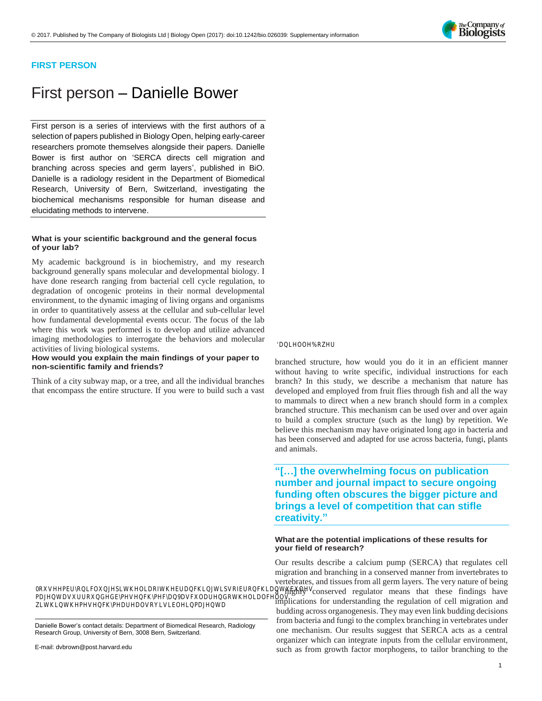

# **FIRST PERSON**

# First person – Danielle Bower

First person is a series of interviews with the first authors of a selection of papers published in Biology Open, helping early-career researchers promote themselves alongside their papers. Danielle Bower is first author on ['SERCA directs cell migration and](http://doi.org/10.1242/bio.026039)  [branching across species and germ layers'](http://doi.org/10.1242/bio.026039), published in BiO. Danielle is a radiology resident in the Department of Biomedical Research, University of Bern, Switzerland, investigating the biochemical mechanisms responsible for human disease and elucidating methods to intervene.

#### **What is your scientific background and the general focus of your lab?**

My academic background is in biochemistry, and my research background generally spans molecular and developmental biology. I have done research ranging from bacterial cell cycle regulation, to degradation of oncogenic proteins in their normal developmental environment, to the dynamic imaging of living organs and organisms in order to quantitatively assess at the cellular and sub-cellular level how fundamental developmental events occur. The focus of the lab where this work was performed is to develop and utilize advanced imaging methodologies to interrogate the behaviors and molecular activities of living biological systems.

**How would you explain the main findings of your paper to non-scientific family and friends?**

Think of a city subway map, or a tree, and all the individual branches that encompass the entire structure. If you were to build such a vast

0RMEURQFOBLEMLDREUDEKLOSREUREKDOKKOM PD**BMUR@GEPHRFDQDF@DUGRKMLDOFOOV** ZK**KAR**RHUHORMYEOHRD**D** 

Danielle Bower's contact details: Department of Biomedical Research, Radiology Research Group, University of Bern, 3008 Bern, Switzerland.

#### DQ**BORH**

branched structure, how would you do it in an efficient manner without having to write specific, individual instructions for each branch? In this study, we describe a mechanism that nature has developed and employed from fruit flies through fish and all the way to mammals to direct when a new branch should form in a complex branched structure. This mechanism can be used over and over again to build a complex structure (such as the lung) by repetition. We believe this mechanism may have originated long ago in bacteria and has been conserved and adapted for use across bacteria, fungi, plants and animals.

**"[…] the overwhelming focus on publication number and journal impact to secure ongoing funding often obscures the bigger picture and brings a level of competition that can stifle creativity."**

#### **What are the potential implications of these results for your field of research?**

Our results describe a calcium pump (SERCA) that regulates cell migration and branching in a conserved manner from invertebrates to vertebrates, and tissues from all germ layers. The very nature of being a highly conserved regulator means that these findings have implications for understanding the regulation of cell migration and budding across organogenesis. They may even link budding decisions from bacteria and fungi to the complex branching in vertebrates under one mechanism. Our results suggest that SERCA acts as a central organizer which can integrate inputs from the cellular environment, such as from growth factor morphogens, to tailor branching to the